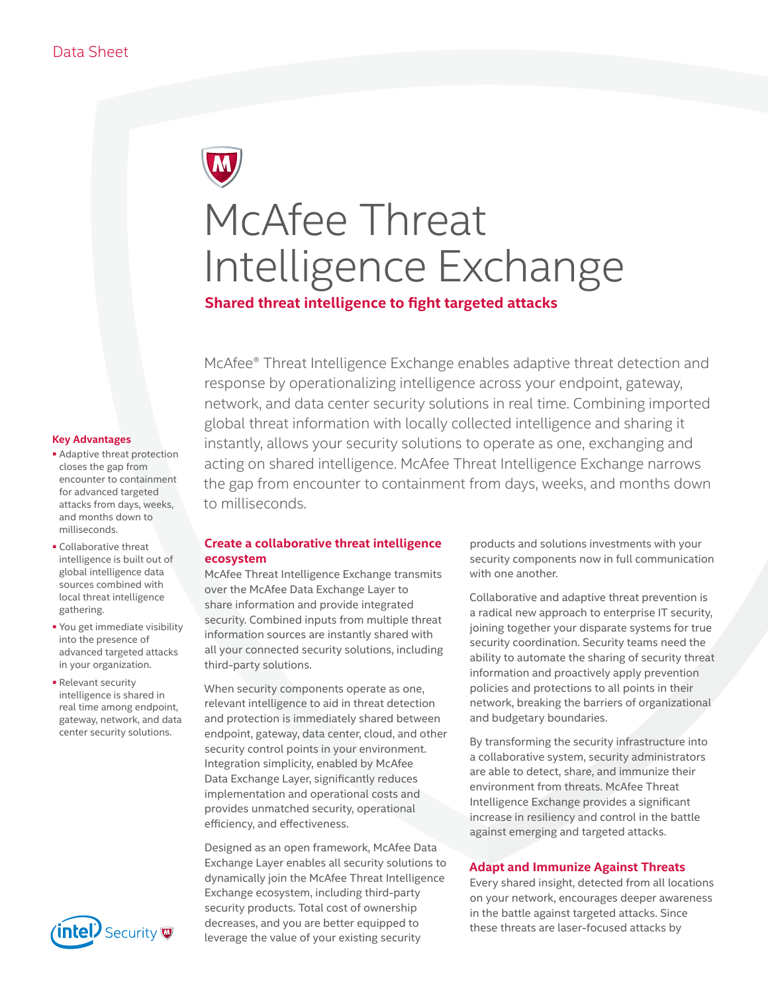# McAfee Threat Intelligence Exchange

# **Shared threat intelligence to fight targeted attacks**

McAfee® Threat Intelligence Exchange enables adaptive threat detection and response by operationalizing intelligence across your endpoint, gateway, network, and data center security solutions in real time. Combining imported global threat information with locally collected intelligence and sharing it instantly, allows your security solutions to operate as one, exchanging and acting on shared intelligence. McAfee Threat Intelligence Exchange narrows the gap from encounter to containment from days, weeks, and months down to milliseconds.

#### **Key Advantages**

- Adaptive threat protection closes the gap from encounter to containment for advanced targeted attacks from days, weeks, and months down to milliseconds.
- Collaborative threat intelligence is built out of global intelligence data sources combined with local threat intelligence gathering.
- You get immediate visibility into the presence of advanced targeted attacks in your organization.
- Relevant security intelligence is shared in real time among endpoint, gateway, network, and data center security solutions.



# **Create a collaborative threat intelligence ecosystem**

McAfee Threat Intelligence Exchange transmits over the McAfee Data Exchange Layer to share information and provide integrated security. Combined inputs from multiple threat information sources are instantly shared with all your connected security solutions, including third-party solutions.

When security components operate as one, relevant intelligence to aid in threat detection and protection is immediately shared between endpoint, gateway, data center, cloud, and other security control points in your environment. Integration simplicity, enabled by McAfee Data Exchange Layer, significantly reduces implementation and operational costs and provides unmatched security, operational efficiency, and effectiveness.

Designed as an open framework, McAfee Data Exchange Layer enables all security solutions to dynamically join the McAfee Threat Intelligence Exchange ecosystem, including third-party security products. Total cost of ownership decreases, and you are better equipped to leverage the value of your existing security

products and solutions investments with your security components now in full communication with one another.

Collaborative and adaptive threat prevention is a radical new approach to enterprise IT security, joining together your disparate systems for true security coordination. Security teams need the ability to automate the sharing of security threat information and proactively apply prevention policies and protections to all points in their network, breaking the barriers of organizational and budgetary boundaries.

By transforming the security infrastructure into a collaborative system, security administrators are able to detect, share, and immunize their environment from threats. McAfee Threat Intelligence Exchange provides a significant increase in resiliency and control in the battle against emerging and targeted attacks.

## **Adapt and Immunize Against Threats**

Every shared insight, detected from all locations on your network, encourages deeper awareness in the battle against targeted attacks. Since these threats are laser-focused attacks by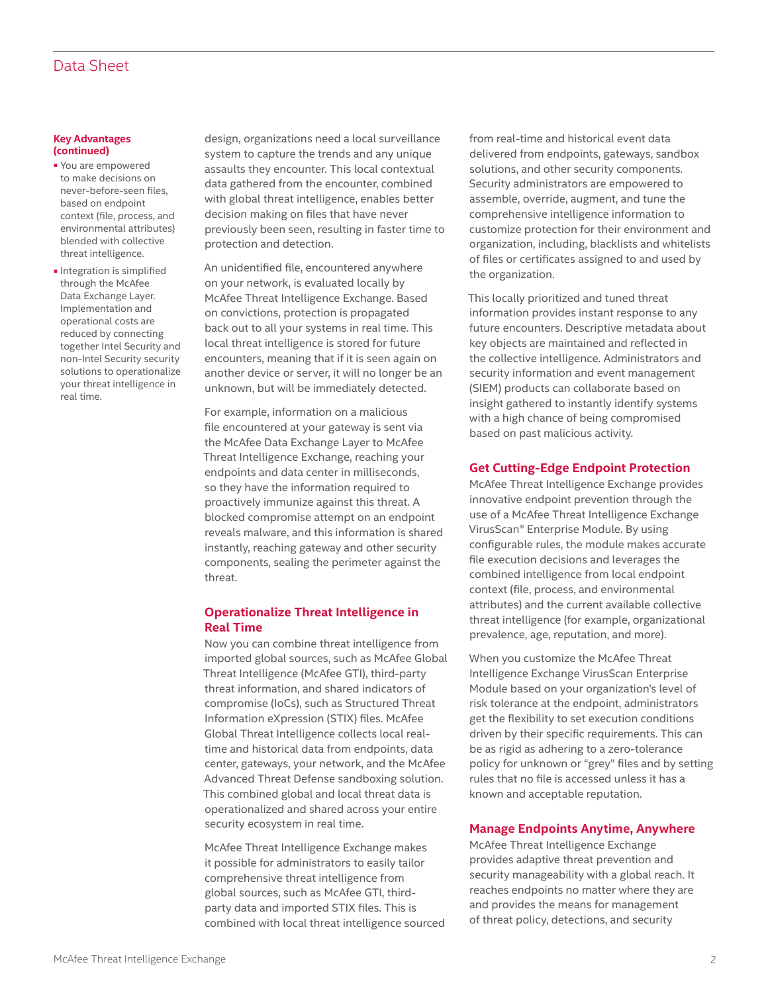# Data Sheet

#### **Key Advantages (continued)**

- You are empowered to make decisions on never-before-seen files, based on endpoint context (file, process, and environmental attributes) blended with collective threat intelligence.
- Integration is simplified through the McAfee Data Exchange Layer. Implementation and operational costs are reduced by connecting together Intel Security and non-Intel Security security solutions to operationalize your threat intelligence in real time.

design, organizations need a local surveillance system to capture the trends and any unique assaults they encounter. This local contextual data gathered from the encounter, combined with global threat intelligence, enables better decision making on files that have never previously been seen, resulting in faster time to protection and detection.

An unidentified file, encountered anywhere on your network, is evaluated locally by McAfee Threat Intelligence Exchange. Based on convictions, protection is propagated back out to all your systems in real time. This local threat intelligence is stored for future encounters, meaning that if it is seen again on another device or server, it will no longer be an unknown, but will be immediately detected.

For example, information on a malicious file encountered at your gateway is sent via the McAfee Data Exchange Layer to McAfee Threat Intelligence Exchange, reaching your endpoints and data center in milliseconds, so they have the information required to proactively immunize against this threat. A blocked compromise attempt on an endpoint reveals malware, and this information is shared instantly, reaching gateway and other security components, sealing the perimeter against the threat.

# **Operationalize Threat Intelligence in Real Time**

Now you can combine threat intelligence from imported global sources, such as McAfee Global Threat Intelligence (McAfee GTI), third-party threat information, and shared indicators of compromise (IoCs), such as Structured Threat Information eXpression (STIX) files. McAfee Global Threat Intelligence collects local realtime and historical data from endpoints, data center, gateways, your network, and the McAfee Advanced Threat Defense sandboxing solution. This combined global and local threat data is operationalized and shared across your entire security ecosystem in real time.

McAfee Threat Intelligence Exchange makes it possible for administrators to easily tailor comprehensive threat intelligence from global sources, such as McAfee GTI, thirdparty data and imported STIX files. This is combined with local threat intelligence sourced from real-time and historical event data delivered from endpoints, gateways, sandbox solutions, and other security components. Security administrators are empowered to assemble, override, augment, and tune the comprehensive intelligence information to customize protection for their environment and organization, including, blacklists and whitelists of files or certificates assigned to and used by the organization.

This locally prioritized and tuned threat information provides instant response to any future encounters. Descriptive metadata about key objects are maintained and reflected in the collective intelligence. Administrators and security information and event management (SIEM) products can collaborate based on insight gathered to instantly identify systems with a high chance of being compromised based on past malicious activity.

### **Get Cutting-Edge Endpoint Protection**

McAfee Threat Intelligence Exchange provides innovative endpoint prevention through the use of a McAfee Threat Intelligence Exchange VirusScan® Enterprise Module. By using configurable rules, the module makes accurate file execution decisions and leverages the combined intelligence from local endpoint context (file, process, and environmental attributes) and the current available collective threat intelligence (for example, organizational prevalence, age, reputation, and more).

When you customize the McAfee Threat Intelligence Exchange VirusScan Enterprise Module based on your organization's level of risk tolerance at the endpoint, administrators get the flexibility to set execution conditions driven by their specific requirements. This can be as rigid as adhering to a zero-tolerance policy for unknown or "grey" files and by setting rules that no file is accessed unless it has a known and acceptable reputation.

#### **Manage Endpoints Anytime, Anywhere**

McAfee Threat Intelligence Exchange provides adaptive threat prevention and security manageability with a global reach. It reaches endpoints no matter where they are and provides the means for management of threat policy, detections, and security